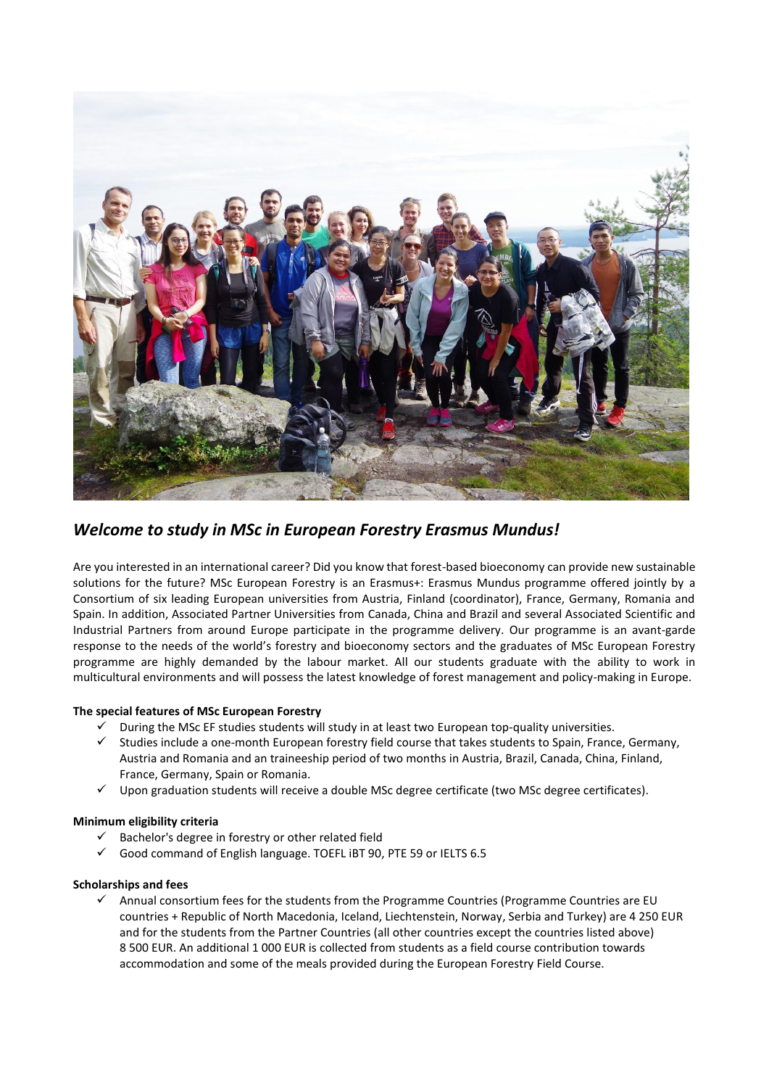

*Welcome to study in MSc in European Forestry Erasmus Mundus!*

Are you interested in an international career? Did you know that forest-based bioeconomy can provide new sustainable solutions for the future? MSc European Forestry is an Erasmus+: Erasmus Mundus programme offered jointly by a Consortium of six leading European universities from Austria, Finland (coordinator), France, Germany, Romania and Spain. In addition, Associated Partner Universities from Canada, China and Brazil and several Associated Scientific and Industrial Partners from around Europe participate in the programme delivery. Our programme is an avant-garde response to the needs of the world's forestry and bioeconomy sectors and the graduates of MSc European Forestry programme are highly demanded by the labour market. All our students graduate with the ability to work in multicultural environments and will possess the latest knowledge of forest management and policy-making in Europe.

## **The special features of MSc European Forestry**

- During the MSc EF studies students will study in at least two European top-quality universities.
- ✓ Studies include a one-month European forestry field course that takes students to Spain, France, Germany, Austria and Romania and an traineeship period of two months in Austria, Brazil, Canada, China, Finland, France, Germany, Spain or Romania.
- Upon graduation students will receive a double MSc degree certificate (two MSc degree certificates).

## **Minimum eligibility criteria**

- Bachelor's degree in forestry or other related field
- Good command of English language. TOEFL IBT 90, PTE 59 or IELTS 6.5

## **Scholarships and fees**

✓ Annual consortium fees for the students from the Programme Countries (Programme Countries are EU countries + Republic of North Macedonia, Iceland, Liechtenstein, Norway, Serbia and Turkey) are 4 250 EUR and for the students from the Partner Countries (all other countries except the countries listed above) 8 500 EUR. An additional 1 000 EUR is collected from students as a field course contribution towards accommodation and some of the meals provided during the European Forestry Field Course.